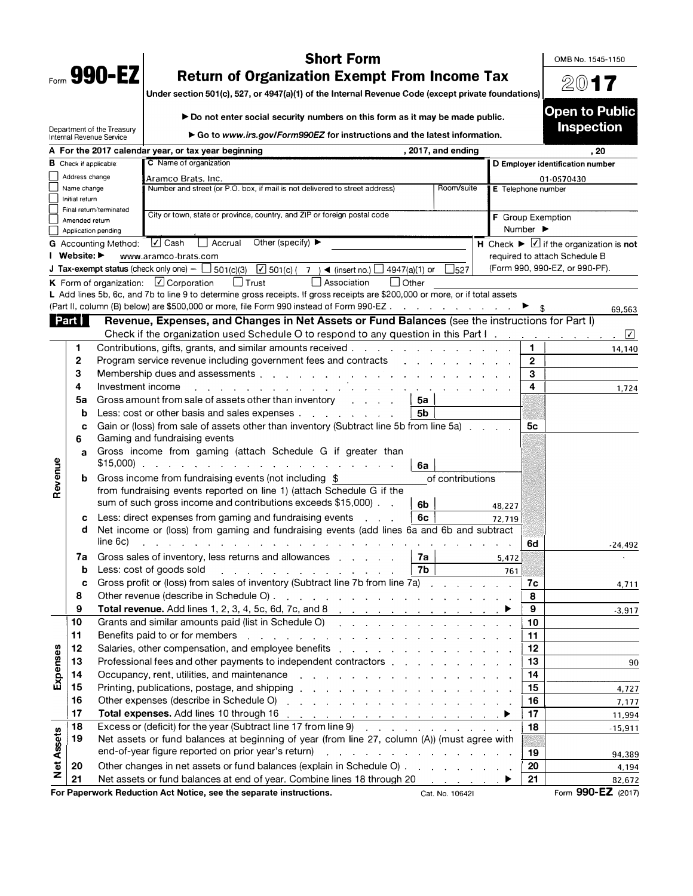| Form | 990- |  |
|------|------|--|

## **Short Form**  0MB No. 1545-1150 **Return of Organization Exempt From Income Tax**

**Under section 501(c), 527, or 4947(a)(1) of the Internal Revenue Code (except private foundations)**  $\frac{2017}{\frac{1}{20}}$ 

► **Do not enter social security numbers on this form as it may be made public.**

Department of the Treasury Internal Revenue Service

**► Go to** *www.irs.gov/Form990EZ* **for instructions and the latest information.** 

|                   |                                                                                                                       |                                                                                         | For the 2017 calendar year, or tax year beginning                                                                                                                                                                              | , 2017, and ending |                              | , 20                                                          |
|-------------------|-----------------------------------------------------------------------------------------------------------------------|-----------------------------------------------------------------------------------------|--------------------------------------------------------------------------------------------------------------------------------------------------------------------------------------------------------------------------------|--------------------|------------------------------|---------------------------------------------------------------|
|                   | <b>B</b> Check if applicable:                                                                                         |                                                                                         | C Name of organization                                                                                                                                                                                                         |                    |                              | D Employer identification number                              |
| Address change    |                                                                                                                       |                                                                                         | Aramco Brats, Inc.                                                                                                                                                                                                             |                    |                              | 01-0570430                                                    |
|                   | Name change                                                                                                           |                                                                                         | Number and street (or P.O. box, if mail is not delivered to street address)                                                                                                                                                    | Room/suite         | E Telephone number           |                                                               |
|                   | Initial return                                                                                                        |                                                                                         |                                                                                                                                                                                                                                |                    |                              |                                                               |
|                   | Final return/terminated<br>City or town, state or province, country, and ZIP or foreign postal code<br>Amended return |                                                                                         |                                                                                                                                                                                                                                |                    | F Group Exemption            |                                                               |
|                   | Application pending                                                                                                   |                                                                                         |                                                                                                                                                                                                                                |                    | Number $\blacktriangleright$ |                                                               |
|                   |                                                                                                                       | <b>G</b> Accounting Method:                                                             | $\sqrt{ }$ Cash<br>$\Box$ Accrual<br>Other (specify) $\blacktriangleright$                                                                                                                                                     |                    |                              | H Check $\blacktriangleright \Box$ if the organization is not |
|                   | l Website: ▶                                                                                                          |                                                                                         | www.aramco-brats.com                                                                                                                                                                                                           |                    |                              | required to attach Schedule B                                 |
|                   |                                                                                                                       |                                                                                         | <b>J</b> Tax-exempt status (check only one) $ \Box$ 501(c)(3) $\boxed{V}$ 501(c)( 7) $\blacktriangleleft$ (insert no.) $\Box$                                                                                                  |                    |                              | (Form 990, 990-EZ, or 990-PF).                                |
|                   |                                                                                                                       |                                                                                         | 4947(a)(1) or<br>$\Box$<br>Association                                                                                                                                                                                         | $\frac{1}{2}$ 527  |                              |                                                               |
|                   |                                                                                                                       |                                                                                         | <b>K</b> Form of organization: $\Box$ Corporation<br>$\Box$ Trust<br>l l Other<br>L Add lines 5b, 6c, and 7b to line 9 to determine gross receipts. If gross receipts are \$200,000 or more, or if total assets                |                    |                              |                                                               |
|                   |                                                                                                                       |                                                                                         | Part II, column (B) below) are \$500,000 or more, file Form 990 instead of Form 990-EZ                                                                                                                                         |                    |                              |                                                               |
|                   |                                                                                                                       |                                                                                         |                                                                                                                                                                                                                                |                    |                              | 69,563                                                        |
|                   | Part                                                                                                                  |                                                                                         | Revenue, Expenses, and Changes in Net Assets or Fund Balances (see the instructions for Part I)                                                                                                                                |                    |                              |                                                               |
|                   |                                                                                                                       |                                                                                         | Check if the organization used Schedule O to respond to any question in this Part I.                                                                                                                                           |                    |                              | ⊻<br>$\epsilon$                                               |
|                   | 1                                                                                                                     |                                                                                         | Contributions, gifts, grants, and similar amounts received.                                                                                                                                                                    |                    | 1                            | 14,140                                                        |
|                   | 2                                                                                                                     |                                                                                         | Program service revenue including government fees and contracts                                                                                                                                                                |                    | $\mathbf{2}$                 |                                                               |
|                   | 3                                                                                                                     |                                                                                         | Membership dues and assessments                                                                                                                                                                                                |                    | 3                            |                                                               |
|                   | 4                                                                                                                     | Investment income                                                                       |                                                                                                                                                                                                                                |                    | 4                            | 1,724                                                         |
|                   | 5a                                                                                                                    |                                                                                         | Gross amount from sale of assets other than inventory<br>and the company                                                                                                                                                       | 5a                 |                              |                                                               |
|                   | b                                                                                                                     |                                                                                         | Less: cost or other basis and sales expenses                                                                                                                                                                                   | 5b.                |                              |                                                               |
|                   | c                                                                                                                     |                                                                                         | Gain or (loss) from sale of assets other than inventory (Subtract line 5b from line 5a).                                                                                                                                       |                    | 5c                           |                                                               |
|                   | 6                                                                                                                     |                                                                                         | Gaming and fundraising events                                                                                                                                                                                                  |                    |                              |                                                               |
|                   | a                                                                                                                     |                                                                                         | Gross income from gaming (attach Schedule G if greater than                                                                                                                                                                    |                    |                              |                                                               |
|                   |                                                                                                                       | $$15,000$ ).                                                                            | .                                                                                                                                                                                                                              | 6а                 |                              |                                                               |
| Revenue           | b                                                                                                                     |                                                                                         | Gross income from fundraising events (not including \$                                                                                                                                                                         | of contributions   |                              |                                                               |
|                   |                                                                                                                       |                                                                                         | from fundraising events reported on line 1) (attach Schedule G if the                                                                                                                                                          |                    |                              |                                                               |
|                   |                                                                                                                       |                                                                                         | sum of such gross income and contributions exceeds \$15,000).                                                                                                                                                                  |                    |                              |                                                               |
|                   |                                                                                                                       |                                                                                         |                                                                                                                                                                                                                                | 6b                 | 48,227                       |                                                               |
|                   | c                                                                                                                     |                                                                                         | Less: direct expenses from gaming and fundraising events<br>$\mathbf{a}$ and $\mathbf{a}$                                                                                                                                      | 6с                 | 72,719                       |                                                               |
|                   | d                                                                                                                     |                                                                                         | Net income or (loss) from gaming and fundraising events (add lines 6a and 6b and subtract                                                                                                                                      |                    |                              |                                                               |
|                   |                                                                                                                       | line 6c)                                                                                |                                                                                                                                                                                                                                |                    | 6d                           | -24,492                                                       |
|                   | 7a                                                                                                                    |                                                                                         | Gross sales of inventory, less returns and allowances                                                                                                                                                                          | 7a                 | 5,472                        |                                                               |
|                   | b                                                                                                                     |                                                                                         | Less: cost of goods sold<br>and the company of the company of the company of                                                                                                                                                   | 7b                 | 761                          |                                                               |
|                   | c                                                                                                                     | Gross profit or (loss) from sales of inventory (Subtract line 7b from line 7a)          |                                                                                                                                                                                                                                |                    |                              | 7c<br>4,711                                                   |
|                   | 8                                                                                                                     | Other revenue (describe in Schedule O).<br>and the contract of the contract of the con- |                                                                                                                                                                                                                                |                    |                              | 8                                                             |
|                   | 9                                                                                                                     |                                                                                         |                                                                                                                                                                                                                                |                    | 9                            | $-3,917$                                                      |
|                   | 10                                                                                                                    |                                                                                         | Grants and similar amounts paid (list in Schedule O)                                                                                                                                                                           |                    | 10                           |                                                               |
|                   | 11                                                                                                                    |                                                                                         | Benefits paid to or for members                                                                                                                                                                                                |                    | 11                           |                                                               |
| 89                | 12                                                                                                                    |                                                                                         | Salaries, other compensation, and employee benefits external and solution of the same states of the Salaries of T                                                                                                              |                    | 12                           |                                                               |
|                   | 13                                                                                                                    |                                                                                         | Professional fees and other payments to independent contractors [14, 14, 14]                                                                                                                                                   |                    | 13                           | 90                                                            |
| Expens            | 14                                                                                                                    |                                                                                         | Occupancy, rent, utilities, and maintenance<br>and a straightful contract and a straight and                                                                                                                                   |                    | 14                           |                                                               |
|                   | 15                                                                                                                    |                                                                                         | Printing, publications, postage, and shipping enterstand and an analyzed of the set of the principal principal of the set of the set of the set of the set of the set of the set of the set of the set of the set of the set o |                    | 15                           | 4,727                                                         |
|                   | 16                                                                                                                    |                                                                                         | Other expenses (describe in Schedule O)<br>والمتواطن والمتواطن والمتواطن والمتواطن والمتواطن والمتواطن                                                                                                                         |                    | 16                           | 7,177                                                         |
|                   | 17                                                                                                                    |                                                                                         |                                                                                                                                                                                                                                |                    | 17                           | 11,994                                                        |
|                   | 18                                                                                                                    |                                                                                         | Excess or (deficit) for the year (Subtract line 17 from line 9)                                                                                                                                                                |                    | 18                           |                                                               |
|                   | 19                                                                                                                    |                                                                                         | Net assets or fund balances at beginning of year (from line 27, column (A)) (must agree with                                                                                                                                   |                    | $-15,911$                    |                                                               |
|                   |                                                                                                                       |                                                                                         | end-of-year figure reported on prior year's return)<br>the second contract of the second contract of the                                                                                                                       |                    |                              |                                                               |
| <b>Net Assets</b> |                                                                                                                       |                                                                                         |                                                                                                                                                                                                                                |                    | 19                           | 94,389                                                        |
|                   | 20                                                                                                                    |                                                                                         | Other changes in net assets or fund balances (explain in Schedule O)                                                                                                                                                           |                    | 20                           | 4,194                                                         |
|                   | 21                                                                                                                    |                                                                                         | Net assets or fund balances at end of year. Combine lines 18 through 20                                                                                                                                                        |                    | 21                           | 82,672                                                        |
|                   |                                                                                                                       |                                                                                         | For Paperwork Reduction Act Notice, see the separate instructions.                                                                                                                                                             | Cat. No. 10642I    |                              | Form 990-EZ (2017)                                            |

**Open to Public Inspection**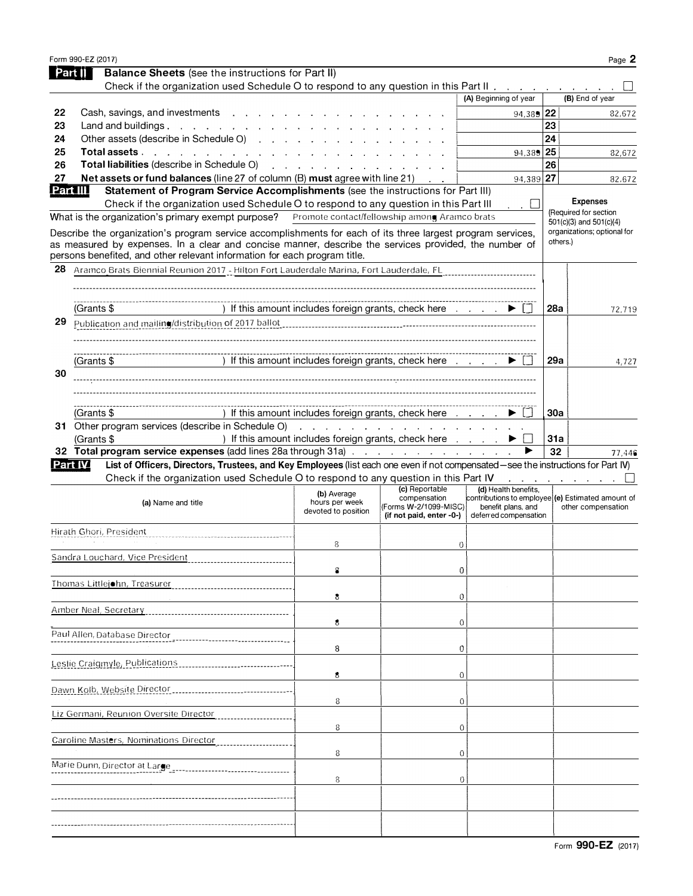|          | Form 990-EZ (2017)                                                                                                                                                                                                                  |                                                                                     |                                                   |                                                   |     | Page 2                                                                                                                                                                            |
|----------|-------------------------------------------------------------------------------------------------------------------------------------------------------------------------------------------------------------------------------------|-------------------------------------------------------------------------------------|---------------------------------------------------|---------------------------------------------------|-----|-----------------------------------------------------------------------------------------------------------------------------------------------------------------------------------|
| Part II  | <b>Balance Sheets</b> (see the instructions for Part II)                                                                                                                                                                            |                                                                                     |                                                   |                                                   |     |                                                                                                                                                                                   |
|          | Check if the organization used Schedule O to respond to any question in this Part II.                                                                                                                                               |                                                                                     |                                                   |                                                   |     |                                                                                                                                                                                   |
|          |                                                                                                                                                                                                                                     |                                                                                     |                                                   | (A) Beginning of year                             |     | (B) End of year                                                                                                                                                                   |
| 22       | Cash, savings, and investments                                                                                                                                                                                                      |                                                                                     |                                                   | 94,385 22                                         |     | 82,672                                                                                                                                                                            |
| 23       | Land and buildings. $\cdot \cdot \cdot \cdot \cdot \cdot \cdot \cdot \cdot \cdot \cdot$                                                                                                                                             |                                                                                     |                                                   |                                                   | 23  |                                                                                                                                                                                   |
| 24       | Other assets (describe in Schedule O)                                                                                                                                                                                               |                                                                                     |                                                   |                                                   | 24  |                                                                                                                                                                                   |
| 25       | Total assets                                                                                                                                                                                                                        |                                                                                     |                                                   | $94,389$ 25                                       |     | 82,672                                                                                                                                                                            |
| 26       | <b>Total liabilities</b> (describe in Schedule O) and a subset of the state of the state of the state of the state of the state of the state of the state of the state of the state of the state of the state of the state of the s |                                                                                     |                                                   |                                                   | 26  |                                                                                                                                                                                   |
| 27       | Net assets or fund balances (line 27 of column (B) must agree with line 21)                                                                                                                                                         |                                                                                     |                                                   | 94,389 27                                         |     | 82,672                                                                                                                                                                            |
| Part III | Statement of Program Service Accomplishments (see the instructions for Part III)                                                                                                                                                    |                                                                                     |                                                   |                                                   |     |                                                                                                                                                                                   |
|          | Check if the organization used Schedule O to respond to any question in this Part III                                                                                                                                               |                                                                                     |                                                   | . . LI                                            |     | <b>Expenses</b>                                                                                                                                                                   |
|          | What is the organization's primary exempt purpose?                                                                                                                                                                                  | Promote contact/fellowship among Aramco brats                                       |                                                   |                                                   |     | (Required for section<br>$501(c)(3)$ and $501(c)(4)$                                                                                                                              |
|          | Describe the organization's program service accomplishments for each of its three largest program services,                                                                                                                         |                                                                                     |                                                   |                                                   |     | organizations; optional for                                                                                                                                                       |
|          | as measured by expenses. In a clear and concise manner, describe the services provided, the number of<br>persons benefited, and other relevant information for each program title.                                                  |                                                                                     |                                                   |                                                   |     | others.)                                                                                                                                                                          |
| 28       | Aramco Brats Biennial Reunion 2017 - Hilton Fort Lauderdale Marina, Fort Lauderdale, FL                                                                                                                                             |                                                                                     |                                                   |                                                   |     |                                                                                                                                                                                   |
|          |                                                                                                                                                                                                                                     |                                                                                     |                                                   |                                                   |     |                                                                                                                                                                                   |
|          | (Grants \$                                                                                                                                                                                                                          | If this amount includes foreign grants, check here $\ldots$ $\blacktriangleright$   |                                                   |                                                   | 28a | 72,719                                                                                                                                                                            |
| 29       |                                                                                                                                                                                                                                     |                                                                                     |                                                   |                                                   |     |                                                                                                                                                                                   |
|          | Publication and mailing/distribution of 2017 ballot                                                                                                                                                                                 |                                                                                     |                                                   |                                                   |     |                                                                                                                                                                                   |
|          |                                                                                                                                                                                                                                     |                                                                                     |                                                   |                                                   |     |                                                                                                                                                                                   |
|          | (Grants \$                                                                                                                                                                                                                          | ) If this amount includes foreign grants, check here $\ldots$ $\blacktriangleright$ |                                                   |                                                   | 29a | 4,727                                                                                                                                                                             |
| 30       |                                                                                                                                                                                                                                     |                                                                                     |                                                   |                                                   |     |                                                                                                                                                                                   |
|          |                                                                                                                                                                                                                                     |                                                                                     |                                                   |                                                   |     |                                                                                                                                                                                   |
|          |                                                                                                                                                                                                                                     |                                                                                     |                                                   |                                                   |     |                                                                                                                                                                                   |
|          | (Grants \$                                                                                                                                                                                                                          | ) If this amount includes foreign grants, check here                                |                                                   |                                                   | 30a |                                                                                                                                                                                   |
|          |                                                                                                                                                                                                                                     |                                                                                     |                                                   |                                                   |     |                                                                                                                                                                                   |
|          | (Grants \$                                                                                                                                                                                                                          | ) If this amount includes foreign grants, check here                                |                                                   |                                                   | 31a |                                                                                                                                                                                   |
|          | 32 Total program service expenses (add lines 28a through 31a)                                                                                                                                                                       |                                                                                     |                                                   |                                                   | 32  | 77,446                                                                                                                                                                            |
| Part IV  | List of Officers, Directors, Trustees, and Key Employees (list each one even if not compensated-see the instructions for Part IV)                                                                                                   |                                                                                     |                                                   |                                                   |     |                                                                                                                                                                                   |
|          | Check if the organization used Schedule O to respond to any question in this Part IV                                                                                                                                                |                                                                                     | (c) Reportable                                    | (d) Health benefits.                              |     | $\mathcal{L}^{\mathcal{A}}$ , $\mathcal{L}^{\mathcal{A}}$ , $\mathcal{L}^{\mathcal{A}}$ , $\mathcal{L}^{\mathcal{A}}$ , $\mathcal{L}^{\mathcal{A}}$ , $\mathcal{L}^{\mathcal{A}}$ |
|          | (a) Name and title                                                                                                                                                                                                                  | (b) Average<br>hours per week                                                       | compensation                                      | contributions to employee (e) Estimated amount of |     |                                                                                                                                                                                   |
|          |                                                                                                                                                                                                                                     | devoted to position                                                                 | (Forms W-2/1099-MISC)<br>(if not paid, enter -0-) | benefit plans, and<br>deferred compensation       |     | other compensation                                                                                                                                                                |
|          | Hirath Ghori, President                                                                                                                                                                                                             |                                                                                     |                                                   |                                                   |     |                                                                                                                                                                                   |
|          |                                                                                                                                                                                                                                     | 8                                                                                   | 0                                                 |                                                   |     |                                                                                                                                                                                   |
|          | Sandra Louchard, Vice President ______________                                                                                                                                                                                      |                                                                                     |                                                   |                                                   |     |                                                                                                                                                                                   |
|          |                                                                                                                                                                                                                                     | 8                                                                                   | 0                                                 |                                                   |     |                                                                                                                                                                                   |
|          | Thomas Littlejohn, Treasurer                                                                                                                                                                                                        |                                                                                     |                                                   |                                                   |     |                                                                                                                                                                                   |
|          |                                                                                                                                                                                                                                     | 8                                                                                   | O                                                 |                                                   |     |                                                                                                                                                                                   |
|          | Amber Neal, Secretary                                                                                                                                                                                                               |                                                                                     |                                                   |                                                   |     |                                                                                                                                                                                   |
|          |                                                                                                                                                                                                                                     | 8                                                                                   | 0                                                 |                                                   |     |                                                                                                                                                                                   |
|          | Paul Allen, Database Director                                                                                                                                                                                                       |                                                                                     |                                                   |                                                   |     |                                                                                                                                                                                   |
|          |                                                                                                                                                                                                                                     | 8                                                                                   |                                                   | 0                                                 |     |                                                                                                                                                                                   |
|          | Leslie Craigmyle, Publications                                                                                                                                                                                                      |                                                                                     |                                                   |                                                   |     |                                                                                                                                                                                   |
|          |                                                                                                                                                                                                                                     | 8                                                                                   | 0                                                 |                                                   |     |                                                                                                                                                                                   |
|          |                                                                                                                                                                                                                                     |                                                                                     |                                                   |                                                   |     |                                                                                                                                                                                   |
|          |                                                                                                                                                                                                                                     | 8                                                                                   |                                                   | 0                                                 |     |                                                                                                                                                                                   |
|          | Liz Germani, Reunion Oversite Director                                                                                                                                                                                              |                                                                                     |                                                   |                                                   |     |                                                                                                                                                                                   |
|          |                                                                                                                                                                                                                                     | 8                                                                                   |                                                   | 0                                                 |     |                                                                                                                                                                                   |
|          | Caroline Masters, Nominations Director                                                                                                                                                                                              |                                                                                     |                                                   |                                                   |     |                                                                                                                                                                                   |
|          |                                                                                                                                                                                                                                     | 8                                                                                   |                                                   | 0                                                 |     |                                                                                                                                                                                   |
|          | Marie Dunn, Director at Large                                                                                                                                                                                                       |                                                                                     |                                                   |                                                   |     |                                                                                                                                                                                   |
|          |                                                                                                                                                                                                                                     | 8                                                                                   |                                                   | 0                                                 |     |                                                                                                                                                                                   |
|          |                                                                                                                                                                                                                                     |                                                                                     |                                                   |                                                   |     |                                                                                                                                                                                   |
|          |                                                                                                                                                                                                                                     |                                                                                     |                                                   |                                                   |     |                                                                                                                                                                                   |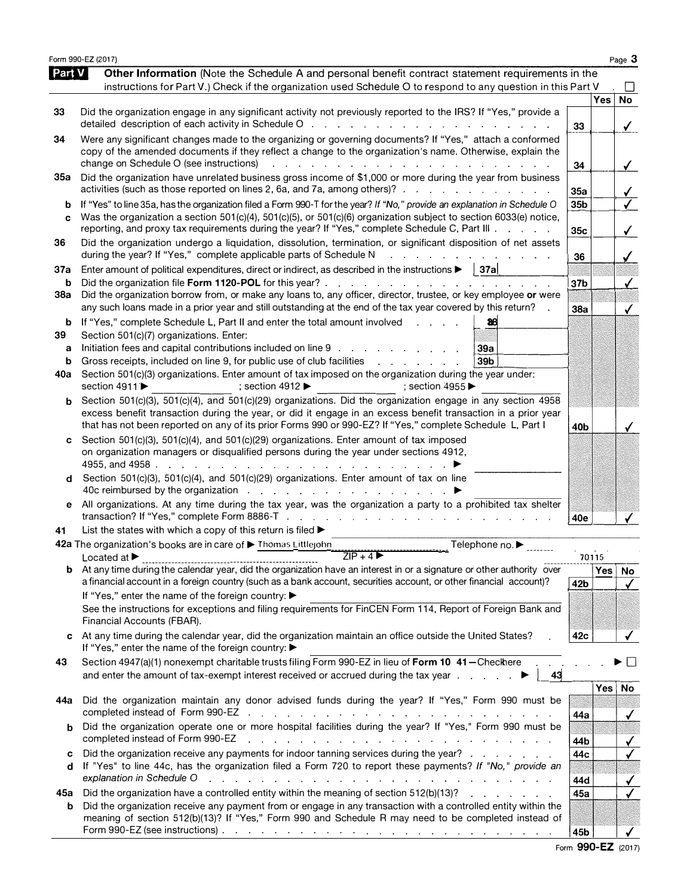|                   | Form 990-EZ (2017)                                                                                                                                                                                                                                                                                                                                           |                        |            | Page 3                                  |
|-------------------|--------------------------------------------------------------------------------------------------------------------------------------------------------------------------------------------------------------------------------------------------------------------------------------------------------------------------------------------------------------|------------------------|------------|-----------------------------------------|
| PartV             | Other Information (Note the Schedule A and personal benefit contract statement requirements in the<br>instructions for Part V.) Check if the organization used Schedule O to respond to any question in this Part V                                                                                                                                          |                        |            |                                         |
| 33                | Did the organization engage in any significant activity not previously reported to the IRS? If "Yes," provide a<br>detailed description of each activity in Schedule O $\ldots$ , $\ldots$ , $\ldots$ , $\ldots$ , $\ldots$ , $\ldots$ , $\ldots$                                                                                                            |                        | <b>Yes</b> | <b>No</b>                               |
| 34                | Were any significant changes made to the organizing or governing documents? If "Yes," attach a conformed<br>copy of the amended documents if they reflect a change to the organization's name. Otherwise, explain the<br>change on Schedule O (see instructions)<br>المناطق والمناطق والمناطق والمناطق والمناطق والمناطق والمناطق والمناطق والمناطق والمناطق | 33<br>34               |            | $\checkmark$<br>$\checkmark$            |
| 35a               | Did the organization have unrelated business gross income of \$1,000 or more during the year from business<br>activities (such as those reported on lines 2, 6a, and 7a, among others)?                                                                                                                                                                      | 35a                    |            | $\checkmark$                            |
| b<br>c            | If "Yes" to line 35a, has the organization filed a Form 990-T for the year? If "No," provide an explanation in Schedule O<br>Was the organization a section 501(c)(4), 501(c)(5), or 501(c)(6) organization subject to section 6033(e) notice,<br>reporting, and proxy tax requirements during the year? If "Yes," complete Schedule C, Part III             | 35 <sub>b</sub><br>35c |            | $\overline{\checkmark}$<br>$\checkmark$ |
| 36                | Did the organization undergo a liquidation, dissolution, termination, or significant disposition of net assets<br>during the year? If "Yes," complete applicable parts of Schedule N<br>and a series of the contract of the contract of                                                                                                                      | 36                     |            |                                         |
| 37a<br>b          | Enter amount of political expenditures, direct or indirect, as described in the instructions $\blacktriangleright$   37a<br>Did the organization file Form 1120-POL for this year?.<br>the second contract of the second contract of the second                                                                                                              | 37 <sub>b</sub>        |            |                                         |
| 38a               | Did the organization borrow from, or make any loans to, any officer, director, trustee, or key employee or were<br>any such loans made in a prior year and still outstanding at the end of the tax year covered by this return?                                                                                                                              | <b>38a</b>             |            |                                         |
| b<br>39<br>a<br>b | If "Yes," complete Schedule L, Part II and enter the total amount involved<br>38<br>Section 501(c)(7) organizations. Enter:<br>Initiation fees and capital contributions included on line 9<br>39a<br>Gross receipts, included on line 9, for public use of club facilities<br>39 <sub>b</sub><br><u>.</u>                                                   |                        |            |                                         |
| 40a               | Section 501(c)(3) organizations. Enter amount of tax imposed on the organization during the year under:<br>section 4911 ▶<br>; section 4912 $\blacktriangleright$<br>; section $4955$                                                                                                                                                                        |                        |            |                                         |
| b                 | Section 501(c)(3), 501(c)(4), and 501(c)(29) organizations. Did the organization engage in any section 4958<br>excess benefit transaction during the year, or did it engage in an excess benefit transaction in a prior year<br>that has not been reported on any of its prior Forms 990 or 990-EZ? If "Yes," complete Schedule L, Part I                    | 40b                    |            |                                         |
| c                 | Section 501(c)(3), 501(c)(4), and 501(c)(29) organizations. Enter amount of tax imposed<br>on organization managers or disqualified persons during the year under sections 4912,                                                                                                                                                                             |                        |            |                                         |
| d                 | Section 501(c)(3), 501(c)(4), and 501(c)(29) organizations. Enter amount of tax on line                                                                                                                                                                                                                                                                      |                        |            |                                         |
| е<br>41           | All organizations. At any time during the tax year, was the organization a party to a prohibited tax shelter<br>List the states with which a copy of this return is filed $\blacktriangleright$                                                                                                                                                              | 40e                    |            |                                         |
|                   | 42a The organization's books are in care of Thomas Littlejohn<br>Telephone no. ▶                                                                                                                                                                                                                                                                             |                        |            |                                         |
|                   | $ZIP + 4$<br>I ocated at $\blacktriangleright$                                                                                                                                                                                                                                                                                                               |                        | 70115      |                                         |
| b                 | At any time during the calendar year, did the organization have an interest in or a signature or other authority over<br>a financial account in a foreign country (such as a bank account, securities account, or other financial account)?<br>If "Yes," enter the name of the foreign country: ▶                                                            | 42 <sub>b</sub>        | Yes        | No<br>$\checkmark$                      |
|                   | See the instructions for exceptions and filing requirements for FinCEN Form 114, Report of Foreign Bank and<br>Financial Accounts (FBAR).                                                                                                                                                                                                                    |                        |            |                                         |
| c                 | At any time during the calendar year, did the organization maintain an office outside the United States?<br>If "Yes," enter the name of the foreign country: ▶                                                                                                                                                                                               | 42c                    |            |                                         |
| 43                | Section 4947(a)(1) nonexempt charitable trusts filing Form 990-EZ in lieu of Form 10 41-Checkhere<br>and enter the amount of tax-exempt interest received or accrued during the tax year<br>43                                                                                                                                                               |                        |            |                                         |
| 44a               | Did the organization maintain any donor advised funds during the year? If "Yes," Form 990 must be                                                                                                                                                                                                                                                            | 44a                    | $Yes \mid$ | No                                      |
| b                 | Did the organization operate one or more hospital facilities during the year? If "Yes," Form 990 must be<br>completed instead of Form 990-EZ<br>والموالد والمستحدث والمستحدث والمستحدث والمستحدث والمستحدث والمستحدث والمستحدث                                                                                                                               | 44b                    |            | $\checkmark$                            |
| с<br>d            | Did the organization receive any payments for indoor tanning services during the year?<br>If "Yes" to line 44c, has the organization filed a Form 720 to report these payments? If "No," provide an<br>explanation in Schedule O<br>فالقارض والمراقب والمراقب والمراقب فالمراقب فالقارف والمراقب والمراقب والمراقب والمراقب والمراقبات                       | 44c<br>44d             |            | $\checkmark$<br>✓                       |
| 45a<br>b          | Did the organization have a controlled entity within the meaning of section 512(b)(13)?<br>and the contract of the contract of<br>Did the organization receive any payment from or engage in any transaction with a controlled entity within the<br>meaning of section 512(b)(13)? If "Yes," Form 990 and Schedule R may need to be completed instead of     | 45a                    |            | ✓                                       |
|                   |                                                                                                                                                                                                                                                                                                                                                              | 45b                    |            |                                         |

Form **990-EZ** (2017)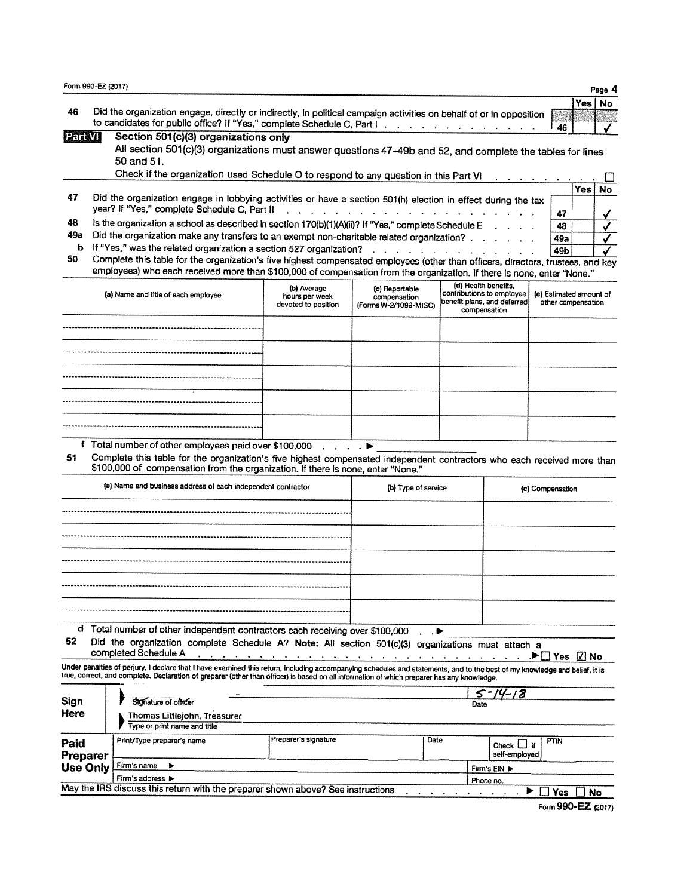| 46                          | Did the organization engage, directly or indirectly, in political campaign activities on behalf of or in opposition                                                                                                                                                                                                      |                                                      |                                                                                                                                                                                                                                |      |                                                                                                  | 46                                            | <b>Yes</b> |
|-----------------------------|--------------------------------------------------------------------------------------------------------------------------------------------------------------------------------------------------------------------------------------------------------------------------------------------------------------------------|------------------------------------------------------|--------------------------------------------------------------------------------------------------------------------------------------------------------------------------------------------------------------------------------|------|--------------------------------------------------------------------------------------------------|-----------------------------------------------|------------|
| Paravil                     | Section 501(c)(3) organizations only<br>All section 501(c)(3) organizations must answer questions 47-49b and 52, and complete the tables for lines<br>50 and 51.                                                                                                                                                         |                                                      |                                                                                                                                                                                                                                |      |                                                                                                  |                                               |            |
|                             | Check if the organization used Schedule O to respond to any question in this Part VI                                                                                                                                                                                                                                     |                                                      |                                                                                                                                                                                                                                |      |                                                                                                  |                                               |            |
|                             |                                                                                                                                                                                                                                                                                                                          |                                                      |                                                                                                                                                                                                                                |      |                                                                                                  |                                               | Yes        |
| 47                          | Did the organization engage in lobbying activities or have a section 501(h) election in effect during the tax<br>year? If "Yes," complete Schedule C, Part II                                                                                                                                                            |                                                      |                                                                                                                                                                                                                                |      |                                                                                                  |                                               |            |
|                             |                                                                                                                                                                                                                                                                                                                          |                                                      | and a series of the contract of the contract of the contract of the contract of the contract of the contract of the contract of the contract of the contract of the contract of the contract of the contract of the contract o |      |                                                                                                  | 47                                            |            |
| 48<br>49а                   | Is the organization a school as described in section 170(b)(1)(A)(ii)? If "Yes," complete Schedule E                                                                                                                                                                                                                     |                                                      |                                                                                                                                                                                                                                |      |                                                                                                  | 48                                            |            |
| ь                           | Did the organization make any transfers to an exempt non-charitable related organization?<br>If "Yes," was the related organization a section 527 organization?                                                                                                                                                          |                                                      |                                                                                                                                                                                                                                |      |                                                                                                  | 49a                                           |            |
| 50                          | Complete this table for the organization's five highest compensated employees (other than officers, directors, trustees, and key<br>employees) who each received more than \$100,000 of compensation from the organization. If there is none, enter "None."                                                              |                                                      | $\mathbf{v}$ , we can assume that the contribution of the contribution of $\mathbf{v}$                                                                                                                                         |      |                                                                                                  | 49b                                           |            |
|                             | (a) Name and title of each employee                                                                                                                                                                                                                                                                                      | (b) Average<br>hours per week<br>devoted to position | (c) Reportable<br>compensation<br>(Forms W-2/1099-MISC)                                                                                                                                                                        |      | (d) Health benefits,<br>contributions to employee<br>benefit plans, and deferred<br>compensation | (e) Estimated amount of<br>other compensation |            |
|                             |                                                                                                                                                                                                                                                                                                                          |                                                      |                                                                                                                                                                                                                                |      |                                                                                                  |                                               |            |
|                             |                                                                                                                                                                                                                                                                                                                          |                                                      |                                                                                                                                                                                                                                |      |                                                                                                  |                                               |            |
|                             |                                                                                                                                                                                                                                                                                                                          |                                                      |                                                                                                                                                                                                                                |      |                                                                                                  |                                               |            |
|                             |                                                                                                                                                                                                                                                                                                                          |                                                      |                                                                                                                                                                                                                                |      |                                                                                                  |                                               |            |
|                             |                                                                                                                                                                                                                                                                                                                          |                                                      |                                                                                                                                                                                                                                |      |                                                                                                  |                                               |            |
|                             | f Total number of other employees paid over \$100,000                                                                                                                                                                                                                                                                    |                                                      |                                                                                                                                                                                                                                |      |                                                                                                  |                                               |            |
|                             | Complete this table for the organization's five highest compensated independent contractors who each received more than<br>\$100,000 of compensation from the organization. If there is none, enter "None."<br>(a) Name and business address of each independent contractor                                              |                                                      | (b) Type of service                                                                                                                                                                                                            |      |                                                                                                  | (c) Compensation                              |            |
|                             |                                                                                                                                                                                                                                                                                                                          |                                                      |                                                                                                                                                                                                                                |      |                                                                                                  |                                               |            |
|                             |                                                                                                                                                                                                                                                                                                                          |                                                      |                                                                                                                                                                                                                                |      |                                                                                                  |                                               |            |
|                             |                                                                                                                                                                                                                                                                                                                          |                                                      |                                                                                                                                                                                                                                |      |                                                                                                  |                                               |            |
|                             |                                                                                                                                                                                                                                                                                                                          |                                                      |                                                                                                                                                                                                                                |      |                                                                                                  |                                               |            |
|                             |                                                                                                                                                                                                                                                                                                                          |                                                      |                                                                                                                                                                                                                                |      |                                                                                                  |                                               |            |
| 51.<br>52                   | d Total number of other independent contractors each receiving over \$100,000<br>Did the organization complete Schedule A? Note: All section 501(c)(3) organizations must attach a                                                                                                                                       |                                                      |                                                                                                                                                                                                                                |      |                                                                                                  |                                               |            |
|                             | completed Schedule A                                                                                                                                                                                                                                                                                                     |                                                      |                                                                                                                                                                                                                                |      |                                                                                                  |                                               |            |
|                             | Under penalties of perjury, I declare that I have examined this return, including accompanying schedules and statements, and to the best of my knowledge and belief, it is<br>true, correct, and complete. Declaration of preparer (other than officer) is based on all information of which preparer has any knowledge. |                                                      |                                                                                                                                                                                                                                |      |                                                                                                  |                                               |            |
|                             | Signature of officer                                                                                                                                                                                                                                                                                                     |                                                      |                                                                                                                                                                                                                                |      | -18<br>Date                                                                                      |                                               |            |
|                             | Thomas Littlejohn, Treasurer<br>Type or print name and title                                                                                                                                                                                                                                                             |                                                      |                                                                                                                                                                                                                                |      |                                                                                                  |                                               |            |
| Sign<br>Here<br>Paid        | Print/Type preparer's name                                                                                                                                                                                                                                                                                               | Preparer's signature                                 |                                                                                                                                                                                                                                | Date | Check $\Box$ if                                                                                  | <b>PTIN</b>                                   |            |
| Preparer<br><b>Use Only</b> | Firm's name                                                                                                                                                                                                                                                                                                              |                                                      |                                                                                                                                                                                                                                |      | self-employed<br>Firm's EIN >                                                                    |                                               |            |

Form 990-EZ (2017)